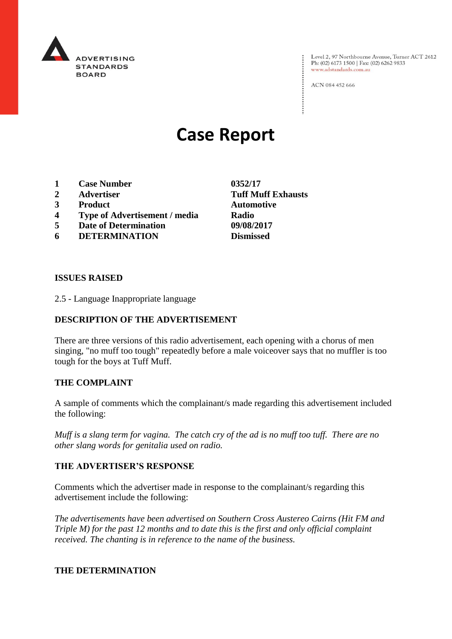

Level 2, 97 Northbourne Avenue, Turner ACT 2612<br>Ph: (02) 6173 1500 | Fax: (02) 6262 9833 www.adstandards.com.au

ACN 084 452 666

# **Case Report**

- **1 Case Number 0352/17**
- **2 Advertiser Tuff Muff Exhausts**
- **3 Product Automotive**
- **4 Type of Advertisement / media Radio**
- **5 Date of Determination 09/08/2017**
- **6 DETERMINATION Dismissed**

**ISSUES RAISED**

2.5 - Language Inappropriate language

## **DESCRIPTION OF THE ADVERTISEMENT**

There are three versions of this radio advertisement, each opening with a chorus of men singing, "no muff too tough" repeatedly before a male voiceover says that no muffler is too tough for the boys at Tuff Muff.

### **THE COMPLAINT**

A sample of comments which the complainant/s made regarding this advertisement included the following:

*Muff is a slang term for vagina. The catch cry of the ad is no muff too tuff. There are no other slang words for genitalia used on radio.*

### **THE ADVERTISER'S RESPONSE**

Comments which the advertiser made in response to the complainant/s regarding this advertisement include the following:

*The advertisements have been advertised on Southern Cross Austereo Cairns (Hit FM and Triple M) for the past 12 months and to date this is the first and only official complaint received. The chanting is in reference to the name of the business.*

### **THE DETERMINATION**